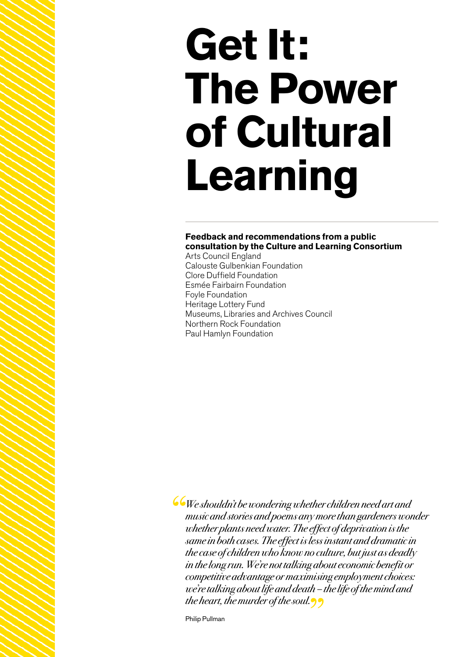# **Get It: The Power of Cultural Learning**

#### **Feedback and recommendations from a public consultation by the Culture and Learning Consortium**

Arts Council England Calouste Gulbenkian Foundation Clore Duffield Foundation Esmée Fairbairn Foundation Foyle Foundation Heritage Lottery Fund Museums, Libraries and Archives Council Northern Rock Foundation Paul Hamlyn Foundation

We shouldn't be wondering whether children need art and music and stories and poems any more than gardeners wonder whether plants need water. The effect of deprivation is the same in both cases. The effect is less instant and dramatic in the case of children who know no culture, but just as deadly in the long run. We're not talking about economic benefit or competitive advantage or maximising employment choices: we're talking about life and death – the life of the mind and the heart, the murder of the soul.

Philip Pullman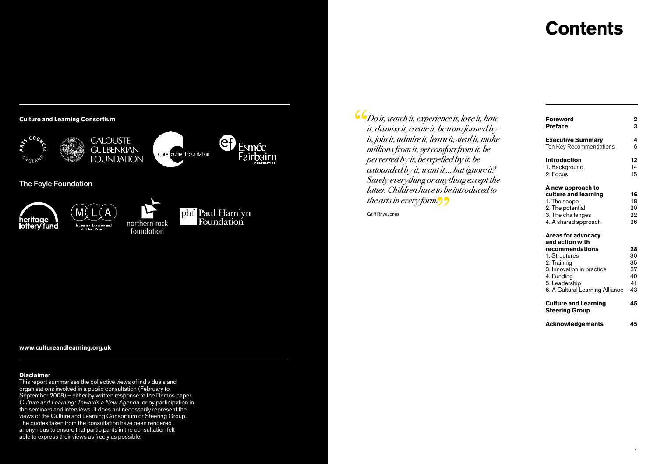# **Contents**









 $\mathcal{L}_{Do\,it, \,watch\,it, \, experience\,it, \,love\,it, \,have}$ it, dismiss it, create it, be transformed by it, join it, admire it, learn it, steal it, make millions from it, get comfort from it, be perverted by it, be repelled by it, be astounded by it, want it … but ignore it? Surely everything or anything except the latter. Children have to be introduced to the arts in every form.

Griff Rhys Jones

от представители на селото на селото на селото на селото на селото на селото на селото на селото на селото на<br>В 11 март 12 март 12 март 12 март 12 март 12 март 12 март 12 март 12 март 12 март 12 март 12 март 12 март 12

| <b>Foreword</b><br><b>Preface</b>                                                                                                                                                              | 2<br>3                                 |
|------------------------------------------------------------------------------------------------------------------------------------------------------------------------------------------------|----------------------------------------|
| <b>Executive Summary</b><br>Ten Key Recommendations                                                                                                                                            | 4<br>6                                 |
| <b>Introduction</b><br>1. Background<br>2. Focus                                                                                                                                               | 12<br>14<br>15                         |
| A new approach to<br>culture and learning<br>1. The scope<br>2. The potential<br>3. The challenges<br>4. A shared approach                                                                     | 16<br>18<br>20<br>22<br>26             |
| <b>Areas for advocacy</b><br>and action with<br>recommendations<br>1. Structures<br>2. Training<br>3. Innovation in practice<br>4. Funding<br>5. Leadership<br>6. A Cultural Learning Alliance | 28<br>30<br>35<br>37<br>40<br>41<br>43 |
| <b>Culture and Learning</b><br><b>Steering Group</b>                                                                                                                                           | 45                                     |
| <b>Acknowledgements</b>                                                                                                                                                                        | 45                                     |

#### **www.cultureandlearning.org.uk**

#### **Disclaimer**

This report summarises the collective views of individuals and organisations involved in a public consultation (February to September 2008) – either by written response to the Demos paper *Culture and Learning: Towards a New Agenda*, or by participation in the seminars and interviews. It does not necessarily represent the views of the Culture and Learning Consortium or Steering Group. The quotes taken from the consultation have been rendered anonymous to ensure that participants in the consultation felt able to express their views as freely as possible.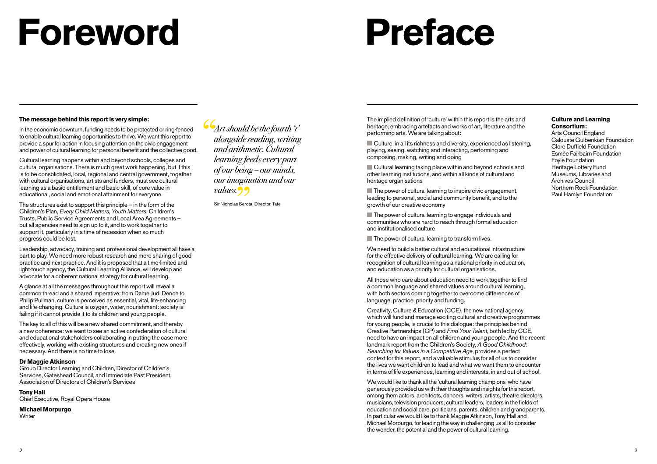# **Foreword**

# **Preface**

#### **The message behind this report is very simple:**

In the economic downturn, funding needs to be protected or ring-fenced to enable cultural learning opportunities to thrive. We want this report to provide a spur for action in focusing attention on the civic engagement and power of cultural learning for personal benefit and the collective good.

Cultural learning happens within and beyond schools, colleges and cultural organisations. There is much great work happening, but if this is to be consolidated, local, regional and central government, together with cultural organisations, artists and funders, must see cultural learning as a basic entitlement and basic skill, of core value in educational, social and emotional attainment for everyone.

The structures exist to support this principle – in the form of the Children's Plan, *Every Child Matters*, *Youth Matters*, Children's Trusts, Public Service Agreements and Local Area Agreements – but all agencies need to sign up to it, and to work together to support it, particularly in a time of recession when so much progress could be lost.

Leadership, advocacy, training and professional development all have a part to play. We need more robust research and more sharing of good practice and next practice. And it is proposed that a time-limited and light-touch agency, the Cultural Learning Alliance, will develop and advocate for a coherent national strategy for cultural learning.

A glance at all the messages throughout this report will reveal a common thread and a shared imperative: from Dame Judi Dench to Philip Pullman, culture is perceived as essential, vital, life-enhancing and life-changing. Culture is oxygen, water, nourishment: society is failing if it cannot provide it to its children and young people.

The key to all of this will be a new shared commitment, and thereby a new coherence: we want to see an active confederation of cultural and educational stakeholders collaborating in putting the case more effectively, working with existing structures and creating new ones if necessary. And there is no time to lose.

#### **Dr Maggie Atkinson**

Group Director Learning and Children, Director of Children's Services, Gateshead Council, and Immediate Past President, Association of Directors of Children's Services

#### **Tony Hall**

Chief Executive, Royal Opera House

#### **Michael Morpurgo**

**Writer** 

Art should be the fourth 'r' alongside reading, writing and arithmetic. Cultural learning feeds every part of our being – our minds, our imagination and our values. <sup>9</sup>

Sir Nicholas Serota, Director, Tate

The implied definition of 'culture' within this report is the arts and heritage, embracing artefacts and works of art, literature and the performing arts. We are talking about:

■ Culture, in all its richness and diversity, experienced as listening, playing, seeing, watching and interacting, performing and composing, making, writing and doing

**Cultural learning taking place within and beyond schools and** other learning institutions, and within all kinds of cultural and heritage organisations

 $\blacksquare$  The power of cultural learning to inspire civic engagement, leading to personal, social and community benefit, and to the growth of our creative economy

 $\blacksquare$  The power of cultural learning to engage individuals and communities who are hard to reach through formal education and institutionalised culture

 $\blacksquare$  The power of cultural learning to transform lives.

We need to build a better cultural and educational infrastructure for the effective delivery of cultural learning. We are calling for recognition of cultural learning as a national priority in education, and education as a priority for cultural organisations.

All those who care about education need to work together to find a common language and shared values around cultural learning, with both sectors coming together to overcome differences of language, practice, priority and funding.

Creativity, Culture & Education (CCE), the new national agency which will fund and manage exciting cultural and creative programmes for young people, is crucial to this dialogue: the principles behind Creative Partnerships (CP) and *Find Your Talent*, both led by CCE, need to have an impact on all children and young people. And the recent landmark report from the Children's Society, *A Good Childhood: Searching for Values in a Competitive Age*, provides a perfect context for this report, and a valuable stimulus for all of us to consider the lives we want children to lead and what we want them to encounter in terms of life experiences, learning and interests, in and out of school.

We would like to thank all the 'cultural learning champions' who have generously provided us with their thoughts and insights for this report, among them actors, architects, dancers, writers, artists, theatre directors, musicians, television producers, cultural leaders, leaders in the fields of education and social care, politicians, parents, children and grandparents. In particular we would like to thank Maggie Atkinson, Tony Hall and Michael Morpurgo, for leading the way in challenging us all to consider the wonder, the potential and the power of cultural learning.

#### **Culture and Learning Consortium:**

Arts Council England Calouste Gulbenkian Foundation Clore Duffield Foundation Esmée Fairbairn Foundation Foyle Foundation Heritage Lottery Fund Museums, Libraries and Archives Council Northern Rock Foundation Paul Hamlyn Foundation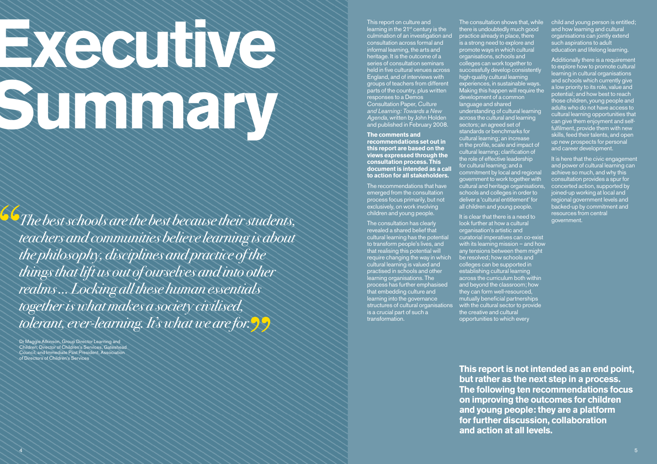# **Executive** Summary Summary

**Co**The best schools are the best because their students, teachers and communities believe learning is about the philosophy, disciplines and practice of the things that lift us out of ourselves and into other realms … Locking all these human essentials together is what makes a society civilised, tolerant, ever-learning. It's what we are for.

Dr Maggie Atkinson, Group Director Learning and Children, Director of Children's Services, Gateshead Council, and Immediate Past President, Association of Directors of Children's Services

#### This report on culture and learning in the  $21<sup>st</sup>$  century is the culmination of an investigation and consultation across formal and informal learning, the arts and heritage. It is the outcome of a series of consultation seminars held in five cultural venues across England, and of interviews with groups of teachers from different parts of the country, plus written responses to a Demos Consultation Paper, *Culture and Learning: Towards a New Agenda*, written by John Holden and published in February 2008.

**The comments and recommendations set out in this report are based on the views expressed through the consultation process. This document is intended as a call to action for all stakeholders.** 

The recommendations that have emerged from the consultation process focus primarily, but not exclusively, on work involving children and young people.

The consultation has clearly revealed a shared belief that cultural learning has the potential to transform people's lives, and that realising this potential will require changing the way in which cultural learning is valued and practised in schools and other learning organisations. The process has further emphasised that embedding culture and learning into the governance structures of cultural organisations is a crucial part of such a transformation.

The consultation shows that, while there is undoubtedly much good practice already in place, there is a strong need to explore and promote ways in which cultural organisations, schools and colleges can work together to successfully develop consistently high-quality cultural learning experiences, in sustainable ways. Making this happen will require the development of a common language and shared understanding of cultural learning across the cultural and learning sectors; an agreed set of standards or benchmarks for cultural learning; an increase in the profile, scale and impact of cultural learning; clarification of the role of effective leadership for cultural learning; and a commitment by local and regional government to work together with cultural and heritage organisations, schools and colleges in order to

It is clear that there is a need to look further at how a cultural organisation's artistic and curatorial imperatives can co-exist with its learning mission – and how any tensions between them might be resolved; how schools and colleges can be supported in establishing cultural learning across the curriculum both within and beyond the classroom; how they can form well-resourced, mutually beneficial partnerships with the cultural sector to provide the creative and cultural opportunities to which every

deliver a 'cultural entitlement' for all children and young people.

child and young person is entitled; and how learning and cultural organisations can jointly extend such aspirations to adult education and lifelong learning.

Additionally there is a requirement to explore how to promote cultural learning in cultural organisations and schools which currently give a low priority to its role, value and potential; and how best to reach those children, young people and adults who do not have access to cultural learning opportunities that can give them enjoyment and selffulfilment, provide them with new skills, feed their talents, and open up new prospects for personal and career development.

It is here that the civic engagement and power of cultural learning can achieve so much, and why this consultation provides a spur for concerted action, supported by joined-up working at local and regional government levels and backed-up by commitment and resources from central government.

**This report is not intended as an end point, but rather as the next step in a process. The following ten recommendations focus on improving the outcomes for children and young people: they are a platform for further discussion, collaboration and action at all levels.**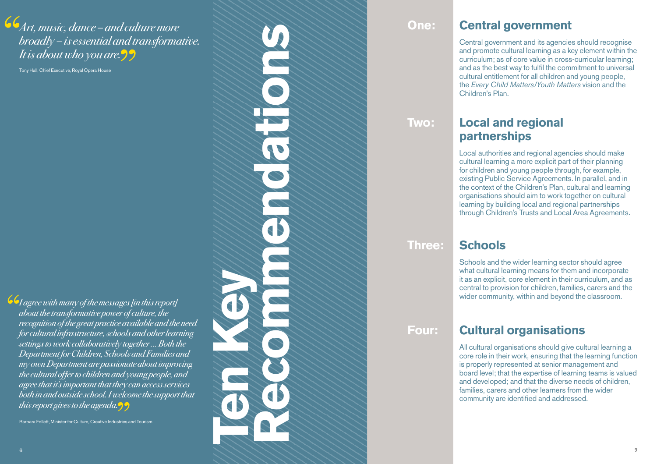Art, music, dance – and culture more broadly – is essential and transformative. It is about who you are.

Tony Hall, Chief Executive, Royal Opera House

**Ten Key Recommendations**  $\widetilde{\mathbf{P}}$ 

**Go** I agree with many of the messages [in this report] about the transformative power of culture, the recognition of the great practice available and the need for cultural infrastructure, schools and other learning settings to work collaboratively together … Both the Department for Children, Schools and Families and my own Department are passionate about improving the cultural offer to children and young people, and agree that it's important that they can access services both in and outside school. I welcome the support that this report gives to the agenda. $\mathcal{D}$ 

Barbara Follett, Minister for Culture, Creative Industries and Tourism

#### **One:**

#### **Central government**

Central government and its agencies should recognise and promote cultural learning as a key element within the curriculum; as of core value in cross-curricular learning; and as the best way to fulfil the commitment to universal cultural entitlement for all children and young people, the *Every Child Matters/Youth Matters* vision and the Children's Plan.

**Two:** 

#### **Local and regional partnerships**

Local authorities and regional agencies should make cultural learning a more explicit part of their planning for children and young people through, for example, existing Public Service Agreements. In parallel, and in the context of the Children's Plan, cultural and learning organisations should aim to work together on cultural learning by building local and regional partnerships through Children's Trusts and Local Area Agreements.

**Three:** 

#### **Schools**

Schools and the wider learning sector should agree what cultural learning means for them and incorporate it as an explicit, core element in their curriculum, and as central to provision for children, families, carers and the wider community, within and beyond the classroom.

**Four:** 

#### **Cultural organisations**

All cultural organisations should give cultural learning a core role in their work, ensuring that the learning function is properly represented at senior management and board level; that the expertise of learning teams is valued and developed; and that the diverse needs of children, families, carers and other learners from the wider community are identified and addressed.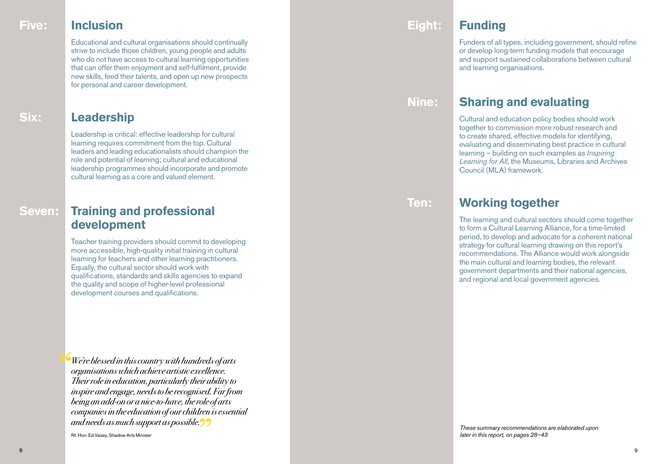#### **Five:**

#### **Inclusion Eight:**

Educational and cultural organisations should continually strive to include those children, young people and adults who do not have access to cultural learning opportunities that can offer them enjoyment and self-fulfilment, provide new skills, feed their talents, and open up new prospects for personal and career development.

#### **Leadership**

Leadership is critical: effective leadership for cultural learning requires commitment from the top. Cultural leaders and leading educationalists should champion the role and potential of learning; cultural and educational leadership programmes should incorporate and promote cultural learning as a core and valued element.

#### **Training and professional development**

Teacher training providers should commit to developing more accessible, high-quality initial training in cultural learning for teachers and other learning practitioners. Equally, the cultural sector should work with qualifications, standards and skills agencies to expand the quality and scope of higher-level professional development courses and qualifications.

We're blessed in this country with hundreds of arts organisations which achieve artistic excellence. Their role in education, particularly their ability to inspire and engage, needs to be recognised. Far from being an add-on or a nice-to-have, the role of arts companies in the education of our children is essential and needs as much support as possible.

Rt. Hon. Ed Vaizey, Shadow Arts Minister

#### **Funding**

Funders of all types, including government, should refine or develop long-term funding models that encourage and support sustained collaborations between cultural and learning organisations.

#### **Nine:**

#### **Sharing and evaluating**

Cultural and education policy bodies should work together to commission more robust research and to create shared, effective models for identifying, evaluating and disseminating best practice in cultural learning – building on such examples as *Inspiring Learning for All,* the Museums, Libraries and Archives Council (MLA) framework.

**Ten:**

#### **Working together**

The learning and cultural sectors should come together to form a Cultural Learning Alliance, for a time-limited period, to develop and advocate for a coherent national strategy for cultural learning drawing on this report's recommendations. The Alliance would work alongside the main cultural and learning bodies, the relevant government departments and their national agencies, and regional and local government agencies.

*These summary recommendations are elaborated upon later in this report, on pages 28–43*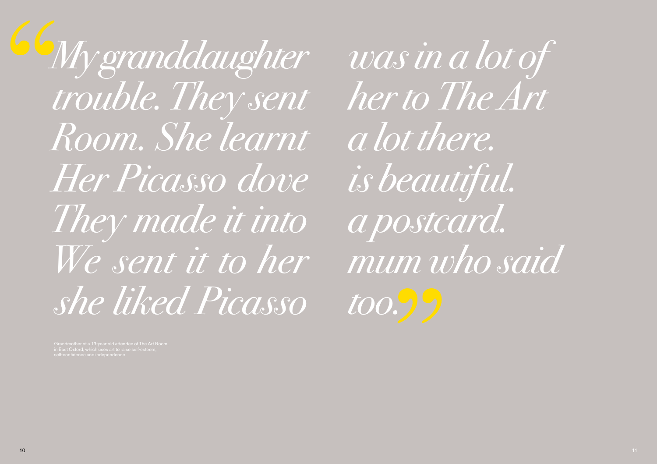My granddaughter trouble. They sent Room. She learnt Her Picasso dove They made it into We sent it to her she liked Picasso

was in a lot of her to The Art a lot there. is beautiful. a postcard. mum who said too.99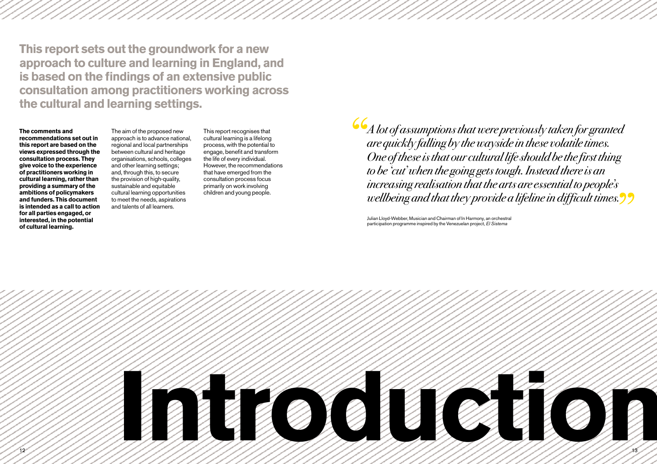**This report sets out the groundwork for a new approach to culture and learning in England, and is based on the findings of an extensive public consultation among practitioners working across the cultural and learning settings.** 

#### **The comments and**

**recommendations set out in this report are based on the views expressed through the consultation process. They give voice to the experience of practitioners working in cultural learning, rather than providing a summary of the ambitions of policymakers and funders. This document is intended as a call to action for all parties engaged, or interested, in the potential of cultural learning.** 

The aim of the proposed new approach is to advance national, regional and local partnerships between cultural and heritage organisations, schools, colleges and other learning settings; and, through this, to secure the provision of high-quality, sustainable and equitable cultural learning opportunities to meet the needs, aspirations and talents of all learners.

This report recognises that cultural learning is a lifelong process, with the potential to engage, benefit and transform the life of every individual. However, the recommendations that have emerged from the consultation process focus primarily on work involving children and young people.

 $\epsilon_A$  lot of assumptions that were previously taken for granted are quickly falling by the wayside in these volatile times. One of these is that our cultural life should be the first thing to be 'cut' when the going gets tough. Instead there is an increasing realisation that the arts are essential to people's wellbeing and that they provide a lifeline in difficult times.

Julian Lloyd-Webber, Musician and Chairman of In Harmony, an orchestral participation programme inspired by the Venezuelan project, *El Sistema*

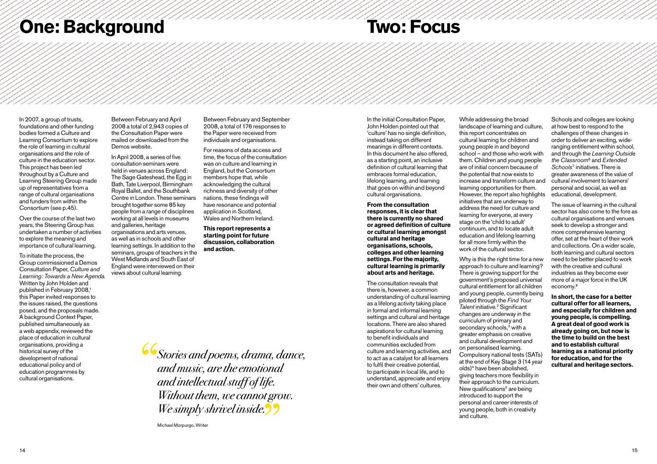# **One: Background**

# **Two: Focus**

In 2007, a group of trusts, foundations and other funding bodies formed a Culture and Learning Consortium to explore the role of learning in cultural organisations and the role of culture in the education sector. This project has been led throughout by a Culture and Learning Steering Group made up of representatives from a range of cultural organisations and funders from within the Consortium (see p.45).

Over the course of the last two years, the Steering Group has undertaken a number of activities to explore the meaning and importance of cultural learning.

To initiate the process, the Group commissioned a Demos Consultation Paper, *Culture and Learning: Towards a New Agenda*. Written by John Holden and published in February 2008,<sup>1</sup> this Paper invited responses to the issues raised, the questions posed, and the proposals made. A background Context Paper, published simultaneously as a web appendix, reviewed the place of education in cultural organisations, providing a historical survey of the development of national educational policy and of education programmes by cultural organisations.

Between February and April 2008 a total of 2,943 copies of the Consultation Paper were mailed or downloaded from the Demos website.

In April 2008, a series of five consultation seminars were held in venues across England: The Sage Gateshead, the Egg in Bath, Tate Liverpool, Birmingham Royal Ballet, and the Southbank Centre in London. These seminars brought together some 85 key people from a range of disciplines working at all levels in museums and galleries, heritage organisations and arts venues, as well as in schools and other learning settings. In addition to the seminars, groups of teachers in the West Midlands and South East of England were interviewed on their views about cultural learning.

Between February and September 2008, a total of 176 responses to the Paper were received from individuals and organisations.

For reasons of data access and time, the focus of the consultation was on culture and learning in England, but the Consortium members hope that, while acknowledging the cultural richness and diversity of other nations, these findings will have resonance and potential application in Scotland, Wales and Northern Ireland.

**This report represents a starting point for future discussion, collaboration and action.**

Stories and poems, drama, dance, and music, are the emotional and intellectual stuff of life. Without them, we cannot grow. We simply shrivel inside.

Michael Morpurgo, Writer

In the initial Consultation Paper, John Holden pointed out that 'culture' has no single definition, instead taking on different meanings in different contexts. In this document he also offered, as a starting point, an inclusive definition of cultural learning that embraces formal education, lifelong learning, and learning that goes on within and beyond cultural organisations.

**From the consultation responses, it is clear that there is currently no shared or agreed definition of culture or cultural learning amongst cultural and heritage organisations, schools, colleges and other learning settings. For the majority, cultural learning is primarily about arts and heritage.**

The consultation reveals that there is, however, a common understanding of cultural learning as a lifelong activity taking place in formal and informal learning settings and cultural and heritage locations. There are also shared aspirations for cultural learning to benefit individuals and communities excluded from culture and learning activities, and to act as a catalyst for all learners to fulfil their creative potential, to participate in local life, and to understand, appreciate and enjoy their own and others' cultures.

While addressing the broad landscape of learning and culture, this report concentrates on cultural learning for children and young people in and beyond school – and those who work with them. Children and young people are of initial concern because of the potential that now exists to increase and transform culture and learning opportunities for them. However, the report also highlights initiatives that are underway to address the need for culture and learning for everyone, at every stage on the 'child to adult' continuum, and to locate adult education and lifelong learning for all more firmly within the work of the cultural sector.

Why is this the right time for a new approach to culture and learning? There is growing support for the government's proposed universal cultural entitlement for all children and young people, currently being piloted through the *Find Your Talent* initiative.2 Significant changes are underway in the curriculum of primary and secondary schools,<sup>3</sup> with a greater emphasis on creative and cultural development and on personalised learning. Compulsory national tests (SATs) at the end of Key Stage 3 (14 year olds)4 have been abolished, giving teachers more flexibility in their approach to the curriculum. New qualifications<sup>5</sup> are being introduced to support the personal and career interests of young people, both in creativity and culture.

Schools and colleges are looking at how best to respond to the challenges of these changes in order to deliver an exciting, wideranging entitlement within school, and through the *Learning Outside the Classroom*<sup>6</sup> and *Extended Schools*<sup>7</sup> initiatives. There is greater awareness of the value of cultural involvement to learners' personal and social, as well as educational, development.

The issue of learning in the cultural sector has also come to the fore as cultural organisations and venues seek to develop a stronger and more comprehensive learning offer, set at the heart of their work and collections. On a wider scale, both learning and cultural sectors need to be better placed to work with the creative and cultural industries as they become ever more of a major force in the UK economy.8

**In short, the case for a better cultural offer for all learners, and especially for children and young people, is compelling. A great deal of good work is already going on, but now is the time to build on the best and to establish cultural learning as a national priority for education, and for the cultural and heritage sectors.**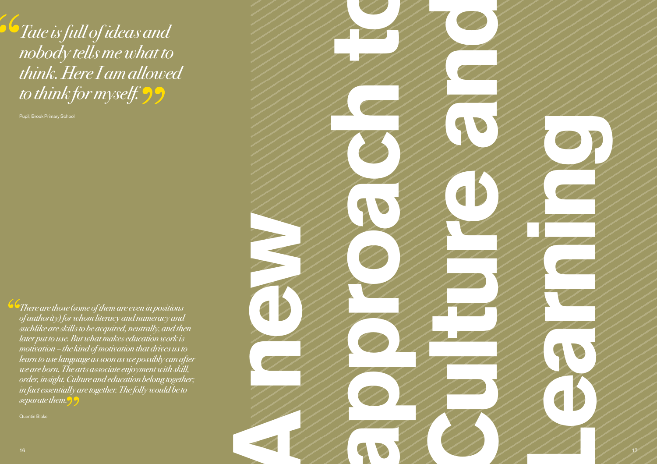$\delta$ Tate is full of ideas and nobody tells me what to think. Here I am allowed to think for myself. 99

Pupil, Brook Primary School

**There are those (some of them are even in positions** of authority) for whom literacy and numeracy and suchlike are skills to be acquired, neutrally, and then later put to use. But what makes education work is motivation – the kind of motivation that drives us to learn to use language as soon as we possibly can after we are born. The arts associate enjoyment with skill, order, insight. Culture and education belong together; in fact essentially are together. The folly would be to separate them.

Quentin Blake

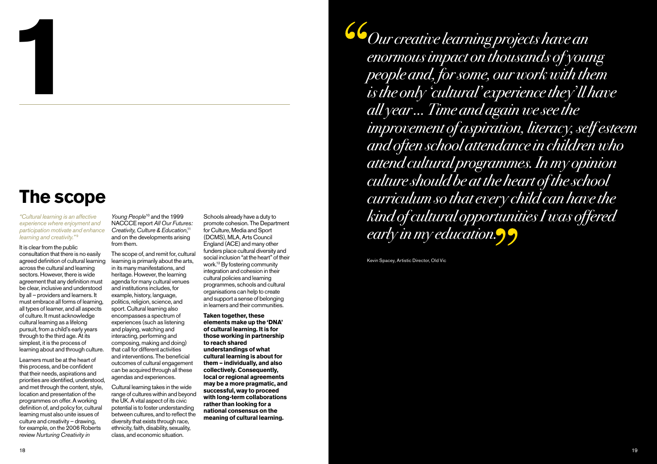### **The scope**

**1**

*"Cultural learning is an affective experience where enjoyment and participation motivate and enhance learning and creativity."* <sup>9</sup>

It is clear from the public consultation that there is no easily agreed definition of cultural learning across the cultural and learning sectors. However, there is wide agreement that any definition must be clear, inclusive and understood by all – providers and learners. It must embrace all forms of learning, all types of learner, and all aspects of culture. It must acknowledge cultural learning as a lifelong pursuit, from a child's early years through to the third age. At its simplest, it is the process of learning about and through culture.

Learners must be at the heart of this process, and be confident that their needs, aspirations and priorities are identified, understood, and met through the content, style, location and presentation of the programmes on offer. A working definition of, and policy for, cultural learning must also unite issues of culture and creativity – drawing, for example, on the 2006 Roberts review *Nurturing Creativity in* 

*Young People*<sup>10</sup> and the 1 NACCCE report *All Our Futures: Creativity, Culture & Education*, 11 and on the developments arising from them.

The scope of, and remit for, cultural learning is primarily about the arts, in its many manifestations, and heritage. However, the learning agenda for many cultural venues and institutions includes, for example, history, language, politics, religion, science, and sport. Cultural learning also encompasses a spectrum of experiences (such as listening and playing, watching and interacting, performing and composing, making and doing) that call for different activities and interventions. The beneficial outcomes of cultural engagement can be acquired through all these agendas and experiences.

Cultural learning takes in the wide range of cultures within and beyond the UK. A vital aspect of its civic potential is to foster understanding between cultures, and to reflect the diversity that exists through race, ethnicity, faith, disability, sexuality, class, and economic situation.

Schools already have a duty to promote cohesion. The Department for Culture, Media and Sport (DCMS), MLA, Arts Council England (ACE) and many other funders place cultural diversity and social inclusion "at the heart" of their work.12 By fostering community integration and cohesion in their cultural policies and learning programmes, schools and cultural organisations can help to create and support a sense of belonging in learners and their communities.

**Taken together, these elements make up the 'DNA' of cultural learning. It is for those working in partnership to reach shared understandings of what cultural learning is about for them – individually, and also collectively. Consequently, local or regional agreements may be a more pragmatic, and successful, way to proceed with long-term collaborations rather than looking for a national consensus on the meaning of cultural learning.**

Our creative learning projects have an enormous impact on thousands of young people and, for some, our work with them is the only 'cultural' experience they' ll have all year … Time and again we see the improvement of aspiration, literacy, self esteem and often school attendance in children who attend cultural programmes. In my opinion culture should be at the heart of the school curriculum so that every child can have the kind of cultural opportunities I was offered early in my education.

Kevin Spacey, Artistic Director, Old Vic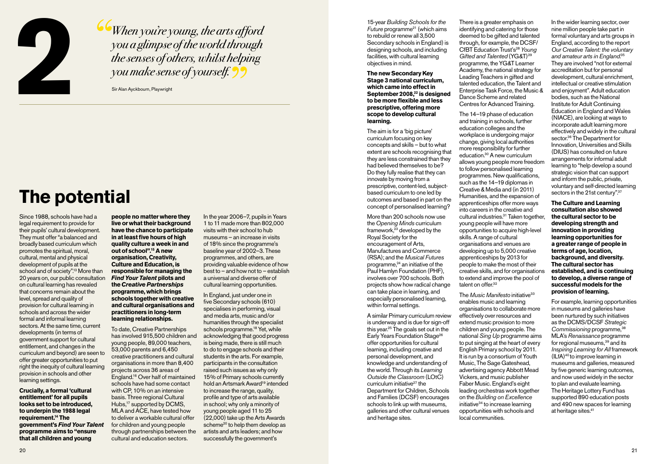

When you're young, the arts afford you a glimpse of the world through the senses of others, whilst helping you make sense of yourself.

Sir Alan Ayckbourn, Playwright

# **The potential**

Since 1988, schools have had a legal requirement to provide for their pupils' cultural development. They must offer "a balanced and broadly based curriculum which promotes the spiritual, moral, cultural, mental and physical development of pupils at the school and of society".13 More than 20 years on, our public consultation on cultural learning has revealed that concerns remain about the level, spread and quality of provision for cultural learning in schools and across the wider formal and informal learning sectors. At the same time, current developments (in terms of government support for cultural entitlement, and changes in the curriculum and beyond) are seen to offer greater opportunities to put right the inequity of cultural learning provision in schools and other learning settings.

**Crucially, a formal 'cultural entitlement' for all pupils looks set to be introduced, to underpin the 1988 legal requirement.14 The government's** *Find Your Talent*  **programme aims to "ensure that all children and young** 

**people no matter where they live or what their background have the chance to participate in at least five hours of high quality culture a week in and out of school".15 A new organisation, Creativity, Culture and Education, is responsible for managing the**  *Find Your Talent* **pilots and the** *Creative Partnerships*  **programme, which brings schools together with creative and cultural organisations and practitioners in long-term learning relationships.**

To date, Creative Partnerships has involved 915,500 children and young people, 89,000 teachers, 53,000 parents and 6,450 creative practitioners and cultural organisations in more than 8,400 projects across 36 areas of England.16 Over half of maintained schools have had some contact with CP, 10% on an intensive basis. Three regional Cultural Hubs,<sup>17</sup> supported by DCMS, MLA and ACE, have tested how to deliver a workable cultural offer for children and young people through partnerships between the cultural and education sectors.

In the year 2006–7, pupils in Years 1 to 11 made more than 802,000 visits with their school to hub museums – an increase in visits of 18% since the programme's baseline year of 2002–3. These programmes, and others, are providing valuable evidence of how best to – and how not to – establish a universal and diverse offer of cultural learning opportunities.

In England, just under one in five Secondary schools (610) specialises in performing, visual and media arts, music and/or humanities through the specialist schools programme.<sup>18</sup> Yet, while acknowledging that good progress is being made, there is still much to do to engage schools and their students in the arts. For example, participants in the consultation raised such issues as why only 15% of Primary schools currently hold an Artsmark Award<sup>19</sup> intended to increase the range, quality, profile and type of arts available in school; why only a minority of young people aged 11 to 25 (22,000) take up the Arts Awards scheme<sup>20</sup> to help them develop as artists and arts leaders; and how successfully the government's

15-year *Building Schools for the Future* programme21 (which aims to rebuild or renew all 3,500 Secondary schools in England) is designing schools, and including facilities, with cultural learning objectives in mind.

**The new Secondary Key Stage 3 national curriculum, which came into effect in**  September 2008,<sup>22</sup> is designed **to be more flexible and less prescriptive, offering more scope to develop cultural learning.**

The aim is for a 'big picture' curriculum focusing on key concepts and skills – but to what extent are schools recognising that they are less constrained than they had believed themselves to be? Do they fully realise that they can innovate by moving from a prescriptive, content-led, subjectbased curriculum to one led by outcomes and based in part on the concept of personalised learning?

More than 200 schools now use the *Opening Minds* curriculum framework,<sup>23</sup> developed by the Royal Society for the encouragement of Arts, Manufactures and Commerce (RSA); and the *Musical Futures*  programme,<sup>24</sup> an initiative of the Paul Hamlyn Foundation (PHF), involves over 700 schools. Both projects show how radical change can take place in learning, and especially personalised learning, within formal settings.

A similar Primary curriculum review is underway and is due for sign-off this year.25 The goals set out in the Early Years Foundation Stage<sup>26</sup> offer opportunities for cultural learning, including creative and personal development, and knowledge and understanding of the world. Through its *Learning Outside the Classroom* (LOtC) curriculum initiative<sup>27</sup> the Department for Children, Schools and Families (DCSF) encourages schools to link up with museums, galleries and other cultural venues and heritage sites.

There is a greater emphasis on identifying and catering for those deemed to be gifted and talented through, for example, the DCSF/ CfBT Education Trust's28 *Young Gifted and Talented* (YG&T)29 programme, the YG&T Learner Academy, the national strategy for Leading Teachers in gifted and talented education, the Talent and Enterprise Task Force, the Music & Dance Scheme and related Centres for Advanced Training.

The 14–19 phase of education and training in schools, further education colleges and the workplace is undergoing major change, giving local authorities more responsibility for further education.30 A new curriculum allows young people more freedom to follow personalised learning programmes. New qualifications, such as the 14–19 diplomas in Creative & Media and (in 2011) Humanities, and the expansion of apprenticeships offer more ways into careers in the creative and cultural industries.31 Taken together, young people will have more opportunities to acquire high-level skills. A range of cultural organisations and venues are developing up to 5,000 creative apprenticeships by 2013 for people to make the most of their creative skills, and for organisations to extend and improve the pool of

The *Music Manifesto* initiative<sup>33</sup> enables music and learning organisations to collaborate more effectively over resources and extend music provision to more children and young people. The national *Sing Up* programme aims to put singing at the heart of every English Primary school by 2011. It is run by a consortium of Youth Music, The Sage Gateshead. advertising agency Abbott Mead Vickers, and music publisher Faber Music. England's eight leading orchestras work together on the *Building on Excellence* initiative34 to increase learning opportunities with schools and local communities.

talent on offer.<sup>32</sup>

In the wider learning sector, over nine million people take part in formal voluntary and arts groups in England, according to the report *Our Creative Talent: the voluntary and amateur arts in England*. 35 They are involved "not for external accreditation but for personal development, cultural enrichment, intellectual or creative stimulation and enjoyment". Adult education bodies, such as the National Institute for Adult Continuing Education in England and Wales (NIACE), are looking at ways to incorporate adult learning more effectively and widely in the cultural sector.<sup>36</sup> The Department for Innovation, Universities and Skills (DIUS) has consulted on future arrangements for informal adult learning to "help develop a sound strategic vision that can support and inform the public, private, voluntary and self-directed learning sectors in the 21st century".<sup>37</sup>

**The Culture and Learning consultation also showed the cultural sector to be developing strength and innovation in providing learning opportunities for a greater range of people in terms of age, location, background, and diversity. The cultural sector has established, and is continuing to develop, a diverse range of successful models for the provision of learning.** 

For example, learning opportunities in museums and galleries have been nurtured by such initiatives as the DCMS/DCSF *Strategic*  Commissioning programme,<sup>38</sup> MLA's *Renaissance* programme for regional museums,<sup>39</sup> and its *Inspiring Learning for All* framework (ILfA)40 to improve learning in museums and galleries, measured by five generic learning outcomes, and now used widely in the sector to plan and evaluate learning. The Heritage Lottery Fund has supported 890 education posts and 490 new spaces for learning at heritage sites.<sup>41</sup>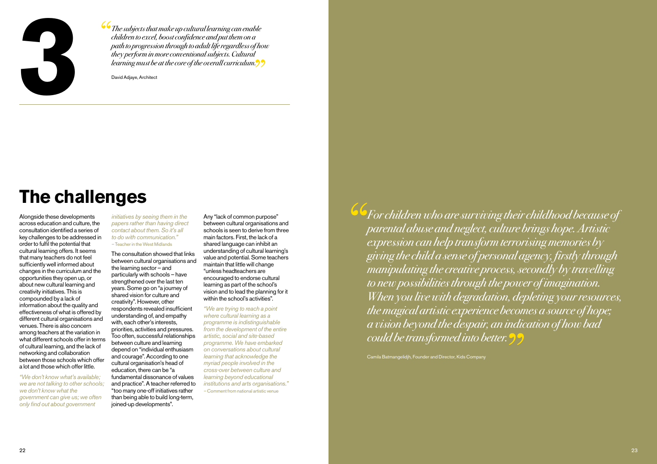

The subjects that make up cultural learning can enable children to excel, boost confidence and put them on a path to progression through to adult life regardless of how they perform in more conventional subjects. Cultural learning must be at the core of the overall curriculum.

David Adjaye, Architect

# **The challenges**

Alongside these developments across education and culture, the consultation identified a series of key challenges to be addressed in order to fulfil the potential that cultural learning offers. It seems that many teachers do not feel sufficiently well informed about changes in the curriculum and the opportunities they open up, or about new cultural learning and creativity initiatives. This is compounded by a lack of information about the quality and effectiveness of what is offered by different cultural organisations and venues. There is also concern among teachers at the variation in what different schools offer in terms of cultural learning, and the lack of networking and collaboration between those schools which offer a lot and those which offer little.

*"We don't know what's available; we are not talking to other schools; we don't know what the government can give us; we often only find out about government* 

*initiatives by seeing them in the papers rather than having direct contact about them. So it's all to do with communication." –* Teacher in the West Midlands

The consultation showed that links between cultural organisations and the learning sector – and particularly with schools – have strengthened over the last ten years. Some go on "a journey of shared vision for culture and creativity". However, other respondents revealed insufficient understanding of, and empathy with, each other's interests, priorities, activities and pressures. Too often, successful relationships between culture and learning depend on "individual enthusiasm and courage". According to one cultural organisation's head of education, there can be "a fundamental dissonance of values and practice". A teacher referred to "too many one-off initiatives rather than being able to build long-term, joined-up developments".

Any "lack of common purpose" between cultural organisations and schools is seen to derive from three main factors. First, the lack of a shared language can inhibit an understanding of cultural learning's value and potential. Some teachers maintain that little will change "unless headteachers are encouraged to endorse cultural learning as part of the school's vision and to lead the planning for it within the school's activities".

*"We are trying to reach a point where cultural learning as a programme is indistinguishable from the development of the entire artistic, social and site-based programme. We have embarked on conversations about cultural learning that acknowledge the myriad people involved in the cross-over between culture and learning beyond educational institutions and arts organisations." –* Comment from national artistic venue

 $\overline{\textbf{G}}$  For children who are surviving their childhood because of parental abuse and neglect, culture brings hope. Artistic expression can help transform terrorising memories by giving the child a sense of personal agency, firstly through manipulating the creative process, secondly by travelling to new possibilities through the power of imagination. When you live with degradation, depleting your resources, the magical artistic experience becomes a source of hope; a vision beyond the despair, an indication of how bad could be transformed into better.

Camila Batmangelidjh, Founder and Director, Kids Company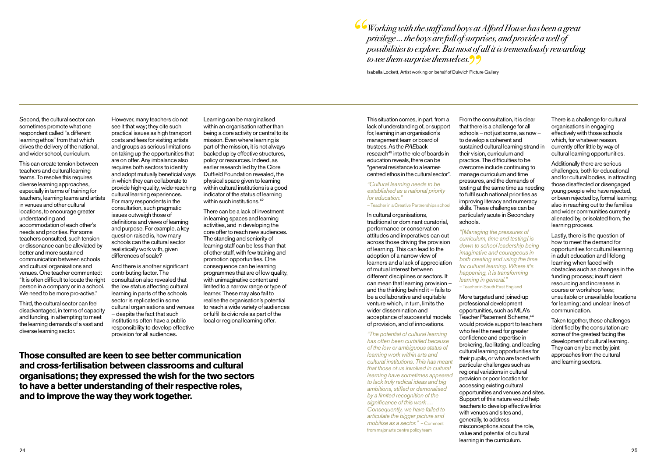Working with the staff and boys at Alford House has been a great privilege … the boys are full of surprises, and provide a well of possibilities to explore. But most of all it is tremendously rewarding to see them surprise themselves. $99$ 

Isabella Lockett, Artist working on behalf of Dulwich Picture Gallery

Second, the cultural sector can sometimes promote what one respondent called "a different learning ethos" from that which drives the delivery of the national, and wider school, curriculum.

This can create tension between teachers and cultural learning teams. To resolve this requires diverse learning approaches, especially in terms of training for teachers, learning teams and artists in venues and other cultural locations, to encourage greater understanding and accommodation of each other's needs and priorities. For some teachers consulted, such tension or dissonance can be alleviated by better and more sustained communication between schools and cultural organisations and venues. One teacher commented: "It is often difficult to locate the right person in a company or in a school. We need to be more pro-active."

Third, the cultural sector can feel disadvantaged, in terms of capacity and funding, in attempting to meet the learning demands of a vast and diverse learning sector.

However, many teachers do not see it that way; they cite such practical issues as high transport costs and fees for visiting artists and groups as serious limitations on taking up the opportunities that are on offer. Any imbalance also requires both sectors to identify and adopt mutually beneficial ways in which they can collaborate to provide high-quality, wide-reaching cultural learning experiences. For many respondents in the consultation, such pragmatic issues outweigh those of definitions and views of learning and purpose. For example, a key question raised is, how many schools can the cultural sector realistically work with, given differences of scale?

And there is another significant contributing factor. The consultation also revealed that the low status affecting cultural learning in parts of the schools sector is replicated in some cultural organisations and venues – despite the fact that such institutions often have a public responsibility to develop effective provision for all audiences.

Learning can be marginalised within an organisation rather than being a core activity or central to its mission. Even where learning is part of the mission, it is not always backed up by effective structures, policy or resources. Indeed, as earlier research led by the Clore Duffield Foundation revealed, the physical space given to learning within cultural institutions is a good indicator of the status of learning within such institutions.<sup>42</sup>

There can be a lack of investment in learning spaces and learning activities, and in developing the core offer to reach new audiences. The standing and seniority of learning staff can be less than that of other staff, with few training and promotion opportunities. One consequence can be learning programmes that are of low quality, with unimaginative content and limited to a narrow range or type of learner. These may also fail to realise the organisation's potential to reach a wide variety of audiences or fulfil its civic role as part of the local or regional learning offer.

**Those consulted are keen to see better communication and cross-fertilisation between classrooms and cultural organisations; they expressed the wish for the two sectors to have a better understanding of their respective roles, and to improve the way they work together.**

This situation comes, in part, from a lack of understanding of, or support for, learning in an organisation's management team or board of trustees. As the *PAE*back research<sup>43</sup> into the role of boards in education reveals, there can be "general resistance to a learnercentred ethos in the cultural sector".

#### *"Cultural learning needs to be established as a national priority for education."*

– Teacher in a Creative Partnerships school

In cultural organisations, traditional or dominant curatorial, performance or conservation attitudes and imperatives can cut across those driving the provision of learning. This can lead to the adoption of a narrow view of learners and a lack of appreciation of mutual interest between different disciplines or sectors. It can mean that learning provision – and the thinking behind it – fails to be a collaborative and equitable venture which, in turn, limits the wider dissemination and acceptance of successful models of provision, and of innovations.

*"The potential of cultural learning has often been curtailed because of the low or ambiguous status of learning work within arts and cultural institutions. This has meant that those of us involved in cultural learning have sometimes appeared to lack truly radical ideas and big ambitions, stifled or demoralised by a limited recognition of the significance of this work … Consequently, we have failed to articulate the bigger picture and mobilise as a sector."* – Comment from major arts centre policy team

From the consultation, it is clear that there is a challenge for all schools – not just some, as now – to develop a coherent and sustained cultural learning strand in their vision, curriculum and practice. The difficulties to be overcome include continuing to manage curriculum and time pressures, and the demands of testing at the same time as needing to fulfil such national priorities as improving literacy and numeracy skills. These challenges can be particularly acute in Secondary schools.

*"[Managing the pressures of curriculum, time and testing] is down to school leadership being imaginative and courageous in both creating and using the time for cultural learning. Where it's happening, it is transforming learning in general."* – Teacher in South East England

More targeted and joined-up professional development opportunities, such as MLA's Teacher Placement Scheme,<sup>44</sup> would provide support to teachers who feel the need for greater confidence and expertise in brokering, facilitating, and leading cultural learning opportunities for their pupils, or who are faced with particular challenges such as regional variations in cultural provision or poor location for accessing existing cultural opportunities and venues and sites. Support of this nature would help teachers to develop effective links with venues and sites and, generally, to address misconceptions about the role, value and potential of cultural learning in the curriculum.

There is a challenge for cultural organisations in engaging effectively with those schools which, for whatever reason, currently offer little by way of cultural learning opportunities.

Additionally there are serious challenges, both for educational and for cultural bodies, in attracting those disaffected or disengaged young people who have rejected, or been rejected by, formal learning; also in reaching out to the families and wider communities currently alienated by, or isolated from, the learning process.

Lastly, there is the question of how to meet the demand for opportunities for cultural learning in adult education and lifelong learning when faced with obstacles such as changes in the funding process; insufficient resourcing and increases in course or workshop fees; unsuitable or unavailable locations for learning; and unclear lines of communication.

Taken together, these challenges identified by the consultation are some of the greatest facing the development of cultural learning. They can only be met by joint approaches from the cultural and learning sectors.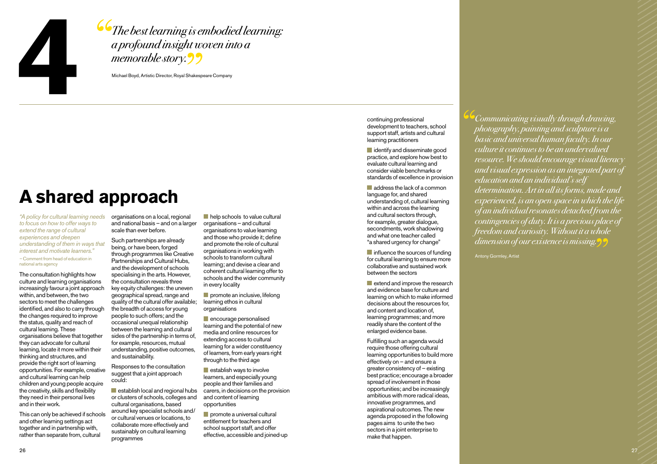

The best learning is embodied learning: a profound insight woven into a memorable story. 22

Michael Boyd, Artistic Director, Royal Shakespeare Company

# **A shared approach**

*"A policy for cultural learning needs to focus on how to offer ways to extend the range of cultural experiences and deepen understanding of them in ways that interest and motivate learners." –* Comment from head of education in national arts agency

The consultation highlights how culture and learning organisations increasingly favour a joint approach within, and between, the two sectors to meet the challenges identified, and also to carry through the changes required to improve the status, quality and reach of cultural learning. These organisations believe that together they can advocate for cultural learning, locate it more within their thinking and structures, and provide the right sort of learning opportunities. For example, creative and cultural learning can help children and young people acquire the creativity, skills and flexibility they need in their personal lives and in their work.

This can only be achieved if schools and other learning settings act together and in partnership with, rather than separate from, cultural

organisations on a local, regional and national basis – and on a larger scale than ever before.

Such partnerships are already being, or have been, forged through programmes like Creative Partnerships and Cultural Hubs, and the development of schools specialising in the arts. However, the consultation reveals three key equity challenges: the uneven geographical spread, range and quality of the cultural offer available; the breadth of access for young people to such offers; and the occasional unequal relationship between the learning and cultural sides of the partnership in terms of, for example, resources, mutual understanding, positive outcomes, and sustainability.

Responses to the consultation suggest that a joint approach could:

establish local and regional hubs or clusters of schools, colleges and cultural organisations, based around key specialist schools and/ or cultural venues or locations, to collaborate more effectively and sustainably on cultural learning programmes

**help schools to value cultural** organisations – and cultural organisations to value learning and those who provide it; define and promote the role of cultural organisations in working with schools to transform cultural learning; and devise a clear and coherent cultural learning offer to schools and the wider community in every locality

 $\blacksquare$  promote an inclusive, lifelong learning ethos in cultural organisations

**encourage personalised** learning and the potential of new media and online resources for extending access to cultural learning for a wider constituency of learners, from early years right through to the third age

 $\blacksquare$  establish ways to involve learners, and especially young people and their families and carers, in decisions on the provision and content of learning opportunities

 $\blacksquare$  promote a universal cultural entitlement for teachers and school support staff, and offer effective, accessible and joined-up

continuing professional development to teachers, school support staff, artists and cultural learning practitioners

dentify and disseminate good practice, and explore how best to evaluate cultural learning and consider viable benchmarks or standards of excellence in provision

**address the lack of a common** language for, and shared understanding of, cultural learning within and across the learning and cultural sectors through, for example, greater dialogue, secondments, work shadowing and what one teacher called "a shared urgency for change"

**n** influence the sources of funding for cultural learning to ensure more collaborative and sustained work between the sectors

 $\blacksquare$  extend and improve the research and evidence base for culture and learning on which to make informed decisions about the resources for, and content and location of, learning programmes; and more readily share the content of the enlarged evidence base.

Fulfilling such an agenda would require those offering cultural learning opportunities to build more effectively on – and ensure a greater consistency of – existing best practice; encourage a broader spread of involvement in those opportunities; and be increasingly ambitious with more radical ideas, innovative programmes, and aspirational outcomes. The new agenda proposed in the following pages aims to unite the two sectors in a joint enterprise to make that happen.

Communicating visually through drawing, photography, painting and sculpture is a basic and universal human faculty. In our culture it continues to be an undervalued resource. We should encourage visual literacy and visual expression as an integrated part of education and an individual's self determination. Art in all its forms, made and experienced, is an open space in which the life of an individual resonates detached from the contingencies of duty. It is a precious place of freedom and curiosity. Without it a whole dimension of our existence is missing.

Antony Gormley, Artist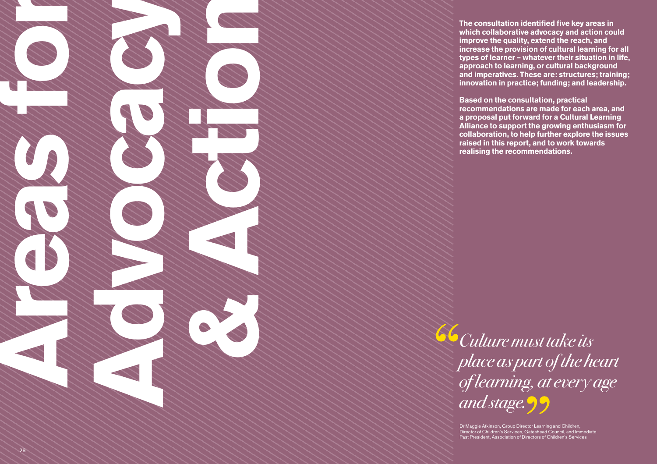**The consultation identified five key areas in which collaborative advocacy and action could improve the quality, extend the reach, and increase the provision of cultural learning for all types of learner – whatever their situation in life, approach to learning, or cultural background and imperatives. These are: structures; training; innovation in practice; funding; and leadership.** 

**Based on the consultation, practical recommendations are made for each area, and a proposal put forward for a Cultural Learning Alliance to support the growing enthusiasm for collaboration, to help further explore the issues raised in this report, and to work towards realising the recommendations.**

Culture must take its place as part of the heart of learning, at every age and stage.<sup>99</sup>

> Dr Maggie Atkinson, Group Director Learning and Children, Director of Children's Services, Gateshead Council, and Immediate Past President, Association of Directors of Children's Services

**Areas for a formal contract of the Contract of the Contract of the Contract of the Contract of the Contract of the Contract of the Contract of the Contract of the Contract of the Contract of the Contract of the Contract o** 

**Advocacy Concerned to the Concerned Street, and the Concerned Street, and the Concerned Street, and the Concerned Street, and the Concerned Street, and the Concerned Street, and the Concerned Street, and the Concerned Str** 

**BEAT AND ACT ON THE CONTROLLAR CONTROLLAR**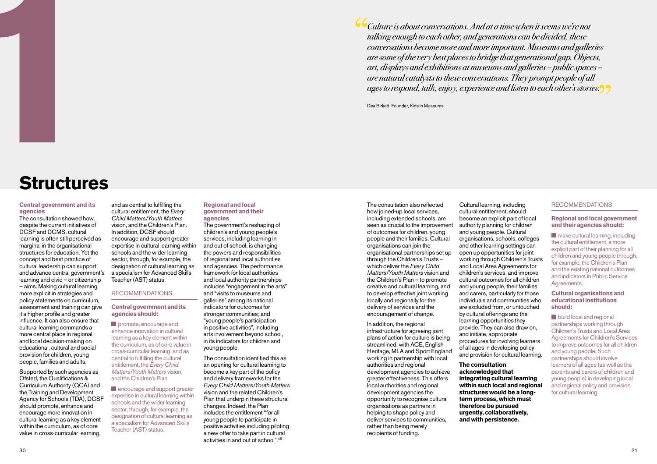Culture is about conversations. And at a time when it seems we're not talking enough to each other, and generations can be divided, these conversations become more and more important. Museums and galleries are some of the very best places to bridge that generational gap. Objects, art, displays and exhibitions at museums and galleries – public spaces – are natural catalysts to these conversations. They prompt people of all ages to respond, talk, enjoy, experience and listen to each other's stories.

Dea Birkett, Founder, Kids in Museums

# **1 Structures**

#### **Central government and its agencies**

The consultation showed how, despite the current initiatives of DCSF and DCMS, cultural learning is often still perceived as marginal in the organisational structures for education. Yet the concept and best practice of cultural leadership can support and advance central government's learning and civic – or citizenship – aims. Making cultural learning more explicit in strategies and policy statements on curriculum, assessment and training can give it a higher profile and greater influence. It can also ensure that cultural learning commands a more central place in regional and local decision-making on educational, cultural and social provision for children, young people, families and adults.

Supported by such agencies as Ofsted, the Qualifications & Curriculum Authority (QCA) and the Training and Development Agency for Schools (TDA), DCSF should promote, enhance and encourage more innovation in cultural learning as a key element within the curriculum, as of core value in cross-curricular learning,

and as central to fulfilling the cultural entitlement, the *Every Child Matters/Youth Matters*  vision, and the Children's Plan. In addition, DCSF should encourage and support greater expertise in cultural learning within schools and the wider learning sector, through, for example, the designation of cultural learning as a specialism for Advanced Skills Teacher (AST) status.

#### Recommendations

#### **Central government and its agencies should:**

**promote, encourage and** enhance innovation in cultural learning as a key element within the curriculum, as of core value in cross-curricular learning, and as central to fulfilling the cultural entitlement, the *Every Child Matters/Youth Matters* vision, and the Children's Plan

**E** encourage and support greater expertise in cultural learning within schools and the wider learning sector, through, for example, the designation of cultural learning as a specialism for Advanced Skills Teacher (AST) status.

#### **Regional and local government and their agencies**

The government's reshaping of children's and young people's services, including learning in and out of school, is changing the powers and responsibilities of regional and local authorities and agencies. The performance framework for local authorities and local authority partnerships includes "engagement in the arts" and "visits to museums and galleries" among its national indicators for outcomes for stronger communities; and "young people's participation in positive activities", including arts involvement beyond school, in its indicators for children and young people.

The consultation identified this as an opening for cultural learning to become a key part of the policy and delivery frameworks for the *Every Child Matters/Youth Matters*  vision and the related Children's Plan that underpin these structural changes. Indeed, the Plan includes the entitlement "for all young people to participate in positive activities including piloting a new offer to take part in cultural activities in and out of school" 45

The consultation also reflected how joined-up local services, including extended schools, are seen as crucial to the improvement of outcomes for children, young people and their families. Cultural organisations can join the organisational partnerships set up through the Children's Trusts – which deliver the *Every Child Matters/Youth Matters* vision and the Children's Plan – to promote creative and cultural learning, and to develop effective joint working locally and regionally for the delivery of services and the encouragement of change.

In addition, the regional infrastructure for agreeing joint plans of action for culture is being streamlined, with ACE, English Heritage, MLA and Sport England working in partnership with local authorities and regional development agencies to achieve greater effectiveness. This offers local authorities and regional development agencies the opportunity to recognise cultural organisations as partners in helping to shape policy and deliver services to communities. rather than being merely recipients of funding.

Cultural learning, including cultural entitlement, should become an explicit part of local authority planning for children and young people. Cultural organisations, schools, colleges and other learning settings can open up opportunities for joint working through Children's Trusts and Local Area Agreements for children's services, and improve cultural outcomes for all children and young people, their families and carers, particularly for those individuals and communities who are excluded from, or untouched by cultural offerings and the learning opportunities they provide. They can also draw on, and initiate, appropriate procedures for involving learners of all ages in developing policy and provision for cultural learning.

#### **The consultation acknowledged that integrating cultural learning within such local and regional structures would be a longterm process, which must therefore be pursued urgently, collaboratively, and with persistence.**

#### Recommendations

#### **Regional and local government and their agencies should:**

**nake cultural learning, including** the cultural entitlement, a more explicit part of their planning for all children and young people through, for example, the Children's Plan and the existing national outcomes and indicators in Public Service Agreements.

#### **Cultural organisations and educational institutions should:**

**build local and regional** partnerships working through Children's Trusts and Local Area Agreements for Children's Services to improve outcomes for all children and young people. Such partnerships should involve learners of all ages (as well as the parents and carers of children and young people) in developing local and regional policy and provision for cultural learning.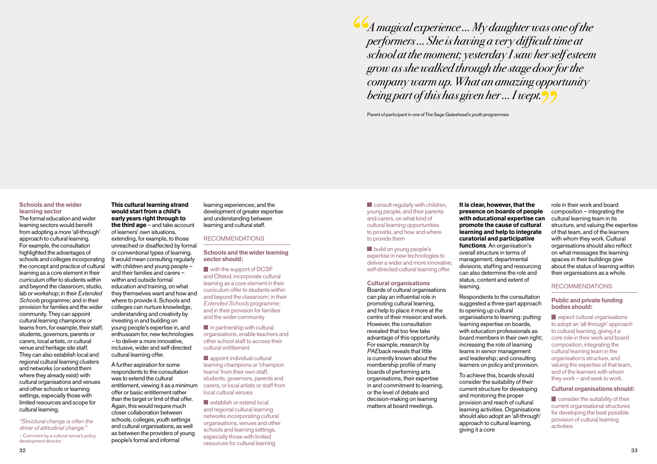A magical experience … My daughter was one of the performers … She is having a very difficult time at school at the moment; yesterday I saw her self esteem grow as she walked through the stage door for the company warm up. What an amazing opportunity being part of this has given her … I wept.

Parent of participant in one of The Sage Gateshead's youth programmes

#### **Schools and the wider learning sector**

The formal education and wider learning sectors would benefit from adopting a more 'all-through' approach to cultural learning. For example, the consultation highlighted the advantages of schools and colleges incorporating the concept and practice of cultural learning as a core element in their curriculum offer to students within and beyond the classroom, studio, lab or workshop; in their *Extended Schools* programme; and in their provision for families and the wider community. They can appoint cultural learning champions or teams from, for example, their staff, students, governors, parents or carers, local artists, or cultural venue and heritage site staff. They can also establish local and regional cultural learning clusters and networks (or extend them where they already exist) with cultural organisations and venues and other schools or learning settings, especially those with limited resources and scope for cultural learning.

*"Structural change is often the driver of attitudinal change." –* Comment by a cultural venue's policy development director

**This cultural learning strand would start from a child's early years right through to the third age** – and take account of learners' own situations, extending, for example, to those unreached or disaffected by formal or conventional types of learning. It would mean consulting regularly with children and young people – and their families and carers – within and outside formal education and training, on what they themselves want and how and where to provide it. Schools and colleges can nurture knowledge, understanding and creativity by investing in and building on young people's expertise in, and enthusiasm for, new technologies – to deliver a more innovative, inclusive, wider and self-directed cultural learning offer.

A further aspiration for some respondents to the consultation was to extend the cultural entitlement, viewing it as a minimum offer or basic entitlement rather than the target or limit of that offer. Again, this would require much closer collaboration between schools, colleges, youth settings and cultural organisations, as well as between the providers of young people's formal and informal

learning experiences; and the development of greater expertise and understanding between learning and cultural staff.

#### **RECOMMENDATIONS**

#### **Schools and the wider learning sector should:**

with the support of DCSF and Ofsted, incorporate cultural learning as a core element in their curriculum offer to students within and beyond the classroom; in their *Extended Schools* programme; and in their provision for families and the wider community

 $\blacksquare$  in partnership with cultural organisations, enable teachers and other school staff to access their cultural entitlement

**appoint individual cultural** learning champions or 'champion teams' from their own staff, students, governors, parents and carers, or local artists or staff from local cultural venues

 $\blacksquare$  establish or extend local and regional cultural learning networks incorporating cultural organisations, venues and other schools and learning settings, especially those with limited resources for cultural learning

**Consult regularly with children,** young people, and their parents and carers, on what kind of cultural learning opportunities to provide, and how and where to provide them

**build on young people's** expertise in new technologies to deliver a wider and more innovative, self-directed cultural learning offer.

#### **Cultural organisations**

Boards of cultural organisations can play an influential role in promoting cultural learning, and help to place it more at the centre of their mission and work. However, the consultation revealed that too few take advantage of this opportunity. For example, research by *PAE*back reveals that little is currently known about the membership profile of many boards of performing arts organisations, their expertise in and commitment to learning, or the level of debate and decision-making on learning matters at board meetings.

**It is clear, however, that the presence on boards of people with educational expertise can promote the cause of cultural learning and help to integrate curatorial and participative functions**. An organisation's overall structure in terms of management, departmental divisions, staffing and resourcing can also determine the role and status, content and extent of learning.

Respondents to the consultation suggested a three-part approach to opening up cultural organisations to learning: putting learning expertise on boards, with education professionals as board members in their own right: increasing the role of learning teams in senior management and leadership; and consulting learners on policy and provision.

To achieve this, boards should consider the suitability of their current structure for developing and monitoring the proper provision and reach of cultural learning activities. Organisations should also adopt an 'all-through' approach to cultural learning, giving it a core

role in their work and board composition – integrating the cultural learning team in its structure, and valuing the expertise of that team, and of the learners with whom they work. Cultural organisations should also reflect on what messages the learning spaces in their buildings give about the status of learning within their organisations as a whole.

#### Recommendations

#### **Public and private funding bodies should:**

**E** expect cultural organisations to adopt an 'all-through' approach to cultural learning, giving it a core role in their work and board composition, integrating the cultural learning team in the organisation's structure, and valuing the expertise of that team, and of the learners with whom they work – and seek to work.

#### **Cultural organisations should:**

**Consider the suitability of their** current organisational structures for developing the best possible provision of cultural learning activities.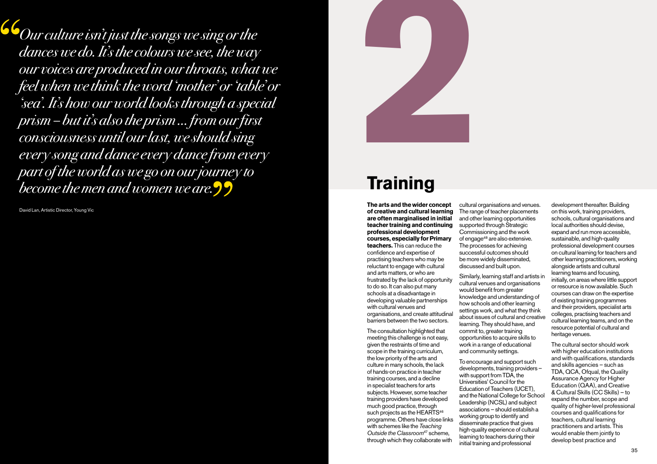$\overline{\mathcal{L}}$  Our culture isn't just the songs we sing or the dances we do. It's the colours we see, the way our voices are produced in our throats, what we feel when we think the word 'mother' or 'table' or 'sea'. It's how our world looks through a special prism – but it's also the prism … from our first consciousness until our last, we should sing every song and dance every dance from every part of the world as we go on our journey to become the men and women we are.  $99$ 

David Lan, Artistic Director, Young Vic



# **Training**

**The arts and the wider concept of creative and cultural learning are often marginalised in initial teacher training and continuing professional development courses, especially for Primary teachers.** This can reduce the confidence and expertise of practising teachers who may be reluctant to engage with cultural and arts matters, or who are frustrated by the lack of opportunity to do so. It can also put many schools at a disadvantage in developing valuable partnerships with cultural venues and organisations, and create attitudinal barriers between the two sectors.

The consultation highlighted that meeting this challenge is not easy, given the restraints of time and scope in the training curriculum, the low priority of the arts and culture in many schools, the lack of hands-on practice in teacher training courses, and a decline in specialist teachers for arts subjects. However, some teacher training providers have developed much good practice, through such projects as the HEARTS<sup>46</sup> programme. Others have close links with schemes like the *Teaching Outside the Classroom*47 scheme, through which they collaborate with

cultural organisations and venues. The range of teacher placements and other learning opportunities supported through Strategic Commissioning and the work of engage<sup>48</sup> are also extensive. The processes for achieving successful outcomes should be more widely disseminated, discussed and built upon.

Similarly, learning staff and artists in cultural venues and organisations would benefit from greater knowledge and understanding of how schools and other learning settings work, and what they think about issues of cultural and creative learning. They should have, and commit to, greater training opportunities to acquire skills to work in a range of educational and community settings.

To encourage and support such developments, training providers – with support from TDA, the Universities' Council for the Education of Teachers (UCET), and the National College for School Leadership (NCSL) and subject associations – should establish a working group to identify and disseminate practice that gives high-quality experience of cultural learning to teachers during their initial training and professional

development thereafter. Building on this work, training providers, schools, cultural organisations and local authorities should devise, expand and run more accessible, sustainable, and high-quality professional development courses on cultural learning for teachers and other learning practitioners, working alongside artists and cultural learning teams and focusing, initially, on areas where little support or resource is now available. Such courses can draw on the expertise of existing training programmes and their providers, specialist arts colleges, practising teachers and cultural learning teams, and on the resource potential of cultural and heritage venues.

The cultural sector should work with higher education institutions and with qualifications, standards and skills agencies – such as TDA, QCA, Ofqual, the Quality Assurance Agency for Higher Education (QAA), and Creative & Cultural Skills (CC Skills) – to expand the number, scope and quality of higher-level professional courses and qualifications for teachers, cultural learning practitioners and artists. This would enable them jointly to develop best practice and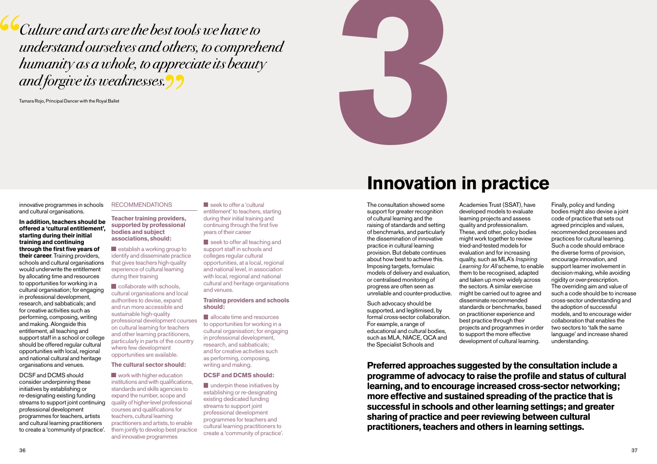**Culture and arts are the best tools we have to** understand ourselves and others, to comprehend humanity as a whole, to appreciate its beauty and forgive its weaknesses.



innovative programmes in schools and cultural organisations.

**In addition, teachers should be offered a 'cultural entitlement', starting during their initial training and continuing through the first five years of their career**. Training providers, schools and cultural organisations would underwrite the entitlement by allocating time and resources to opportunities for working in a cultural organisation; for engaging in professional development, research, and sabbaticals; and for creative activities such as performing, composing, writing and making. Alongside this entitlement, all teaching and support staff in a school or college should be offered regular cultural opportunities with local, regional and national cultural and heritage organisations and venues.

DCSF and DCMS should consider underpinning these initiatives by establishing or re-designating existing funding streams to support joint continuing professional development programmes for teachers, artists and cultural learning practitioners to create a 'community of practice'.

#### **RECOMMENDATIONS**

**Teacher training providers, supported by professional bodies and subject associations, should:** 

 $\blacksquare$  establish a working group to identify and disseminate practice that gives teachers high-quality experience of cultural learning during their training

collaborate with schools, cultural organisations and local authorities to devise, expand and run more accessible and sustainable high-quality professional development courses on cultural learning for teachers and other learning practitioners, particularly in parts of the country where few development opportunities are available.

#### **The cultural sector should:**

**Work with higher education** institutions and with qualifications. standards and skills agencies to expand the number, scope and quality of higher-level professional courses and qualifications for teachers, cultural learning practitioners and artists, to enable them jointly to develop best practice and innovative programmes

seek to offer a 'cultural entitlement' to teachers, starting during their initial training and continuing through the first five years of their career

seek to offer all teaching and support staff in schools and colleges regular cultural opportunities, at a local, regional and national level, in association with local, regional and national cultural and heritage organisations and venues.

#### **Training providers and schools should:**

**allocate time and resources** to opportunities for working in a cultural organisation; for engaging in professional development, research, and sabbaticals; and for creative activities such as performing, composing, writing and making.

#### **DCSF and DCMS should:**

**underpin these initiatives by** establishing or re-designating existing dedicated funding streams to support joint professional development programmes for teachers and cultural learning practitioners to create a 'community of practice'.

# **Innovation in practice**

The consultation showed some support for greater recognition of cultural learning and the raising of standards and setting of benchmarks, and particularly the dissemination of innovative practice in cultural learning provision. But debate continues about how best to achieve this. Imposing targets, formulaic models of delivery and evaluation, or centralised monitoring of progress are often seen as unreliable and counter-productive.

Such advocacy should be supported, and legitimised, by formal cross-sector collaboration. For example, a range of educational and cultural bodies, such as MLA, NIACE, QCA and the Specialist Schools and

Academies Trust (SSAT), have developed models to evaluate learning projects and assess quality and professionalism. These, and other, policy bodies might work together to review tried-and-tested models for evaluation and for increasing quality, such as MLA's *Inspiring Learning for All* scheme, to enable them to be recognised, adapted and taken up more widely across the sectors. A similar exercise might be carried out to agree and disseminate recommended standards or benchmarks, based on practitioner experience and best practice through their projects and programmes in order to support the more effective development of cultural learning.

Finally, policy and funding bodies might also devise a joint code of practice that sets out agreed principles and values, recommended processes and practices for cultural learning. Such a code should embrace the diverse forms of provision, encourage innovation, and support learner involvement in decision-making, while avoiding rigidity or over-prescription. The overriding aim and value of such a code should be to increase cross-sector understanding and the adoption of successful models, and to encourage wider collaboration that enables the two sectors to 'talk the same language' and increase shared understanding.

**Preferred approaches suggested by the consultation include a programme of advocacy to raise the profile and status of cultural learning, and to encourage increased cross-sector networking; more effective and sustained spreading of the practice that is successful in schools and other learning settings; and greater sharing of practice and peer reviewing between cultural practitioners, teachers and others in learning settings.**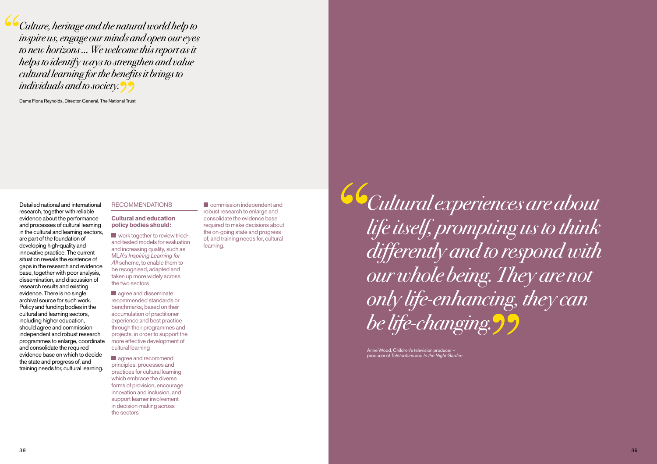Culture, heritage and the natural world help to inspire us, engage our minds and open our eyes to new horizons … We welcome this report as it helps to identify ways to strengthen and value cultural learning for the benefits it brings to individuals and to society.

Dame Fiona Reynolds, Director-General, The National Trust

Detailed national and international research, together with reliable evidence about the performance and processes of cultural learning in the cultural and learning sectors, are part of the foundation of developing high-quality and innovative practice. The current situation reveals the existence of gaps in the research and evidence base, together with poor analysis, dissemination, and discussion of research results and existing evidence. There is no single archival source for such work. Policy and funding bodies in the cultural and learning sectors, including higher education, should agree and commission independent and robust research programmes to enlarge, coordinate and consolidate the required evidence base on which to decide the state and progress of, and training needs for, cultural learning.

#### **RECOMMENDATIONS**

#### **Cultural and education policy bodies should:**

**Work together to review tried**and-tested models for evaluation and increasing quality, such as MLA's *Inspiring Learning for*  All scheme, to enable them to be recognised, adapted and taken up more widely across the two sectors

agree and disseminate recommended standards or benchmarks, based on their accumulation of practitioner experience and best practice through their programmes and projects, in order to support the more effective development of cultural learning

agree and recommend principles, processes and practices for cultural learning which embrace the diverse forms of provision, encourage innovation and inclusion, and support learner involvement in decision-making across the sectors

**Commission independent and** robust research to enlarge and consolidate the evidence base required to make decisions about the on-going state and progress of, and training needs for, cultural learning.

Cultural experiences are about life itself, prompting us to think differently and to respond with our whole being. They are not only life-enhancing, they can be life-changing.

> Anne Wood, Children's television producer – producer of *Teletubbies* and *In the Night Garden*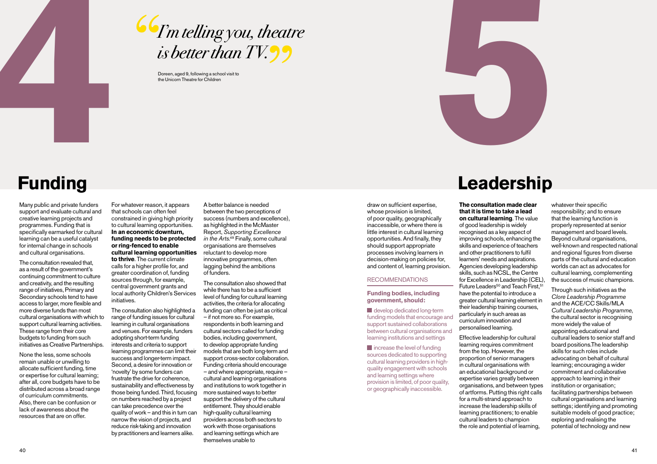

# Go I'm telling you, theatre is better than  $TV$

Doreen, aged 9, following a school visit to the Unicorn Theatre for Children



# **Funding**

Many public and private funders support and evaluate cultural and creative learning projects and programmes. Funding that is specifically earmarked for cultural learning can be a useful catalyst for internal change in schools and cultural organisations.

The consultation revealed that, as a result of the government's continuing commitment to culture and creativity, and the resulting range of initiatives, Primary and Secondary schools tend to have access to larger, more flexible and more diverse funds than most cultural organisations with which to support cultural learning activities. These range from their core budgets to funding from such initiatives as Creative Partnerships.

None the less, some schools remain unable or unwilling to allocate sufficient funding, time or expertise for cultural learning; after all, core budgets have to be distributed across a broad range of curriculum commitments. Also, there can be confusion or lack of awareness about the resources that are on offer.

For whatever reason, it appears that schools can often feel constrained in giving high priority to cultural learning opportunities. **In an economic downturn, funding needs to be protected or ring-fenced to enable cultural learning opportunities** 

**to thrive**. The current climate calls for a higher profile for, and greater coordination of, funding sources through, for example, central government grants and local authority Children's Services initiatives.

The consultation also highlighted a range of funding issues for cultural learning in cultural organisations and venues. For example, funders adopting short-term funding interests and criteria to support learning programmes can limit their success and longer-term impact. Second, a desire for innovation or 'novelty' by some funders can frustrate the drive for coherence, sustainability and effectiveness by those being funded. Third, focusing on numbers reached by a project can take precedence over the quality of work – and this in turn can narrow the vision of projects, and reduce risk-taking and innovation by practitioners and learners alike.

A better balance is needed between the two perceptions of success (numbers and excellence), as highlighted in the McMaster Report, *Supporting Excellence*  in the Arts.<sup>49</sup> Finally, some cultural organisations are themselves reluctant to develop more innovative programmes, often lagging behind the ambitions of funders.

The consultation also showed that while there has to be a sufficient level of funding for cultural learning activities, the criteria for allocating funding can often be just as critical – if not more so. For example, respondents in both learning and cultural sectors called for funding bodies, including government, to develop appropriate funding models that are both long-term and support cross-sector collaboration. Funding criteria should encourage – and where appropriate, require – cultural and learning organisations and institutions to work together in more sustained ways to better support the delivery of the cultural entitlement. They should enable high-quality cultural learning providers across both sectors to work with those organisations and learning settings which are themselves unable to

#### draw on sufficient expertise, whose provision is limited, of poor quality, geographically inaccessible, or where there is little interest in cultural learning opportunities. And finally, they should support appropriate processes involving learners in decision-making on policies for, and content of, learning provision.

#### Recommendations

**Funding bodies, including government, should:** 

develop dedicated long-term funding models that encourage and support sustained collaborations between cultural organisations and learning institutions and settings

 $\blacksquare$  increase the level of funding sources dedicated to supporting cultural learning providers in highquality engagement with schools and learning settings where provision is limited, of poor quality, or geographically inaccessible.

## **Leadership**

**The consultation made clear that it is time to take a lead on cultural learning**. The value of good leadership is widely recognised as a key aspect of improving schools, enhancing the skills and experience of teachers and other practitioners to fulfil learners' needs and aspirations. Agencies developing leadership skills, such as NCSL, the Centre for Excellence in Leadership (CEL), Future Leaders<sup>50</sup> and Teach First.<sup>51</sup> have the potential to introduce a greater cultural learning element in their leadership training courses, particularly in such areas as curriculum innovation and personalised learning.

Effective leadership for cultural learning requires commitment from the top. However, the proportion of senior managers in cultural organisations with an educational background or expertise varies greatly between organisations, and between types of artforms. Putting this right calls for a multi-strand approach to increase the leadership skills of learning practitioners; to enable cultural leaders to champion the role and potential of learning,

whatever their specific responsibility; and to ensure that the learning function is properly represented at senior management and board levels. Beyond cultural organisations, well-known and respected national and regional figures from diverse parts of the cultural and education worlds can act as advocates for cultural learning, complementing the success of music champions.

Through such initiatives as the *Clore Leadership Programme* and the ACE/CC Skills/MLA *Cultural Leadership Programme*, the cultural sector is recognising more widely the value of appointing educational and cultural leaders to senior staff and board positions.The leadership skills for such roles include advocating on behalf of cultural learning; encouraging a wider commitment and collaborative approach to learning in their institution or organisation; facilitating partnerships between cultural organisations and learning settings; identifying and promoting suitable models of good practice; exploring and realising the potential of technology and new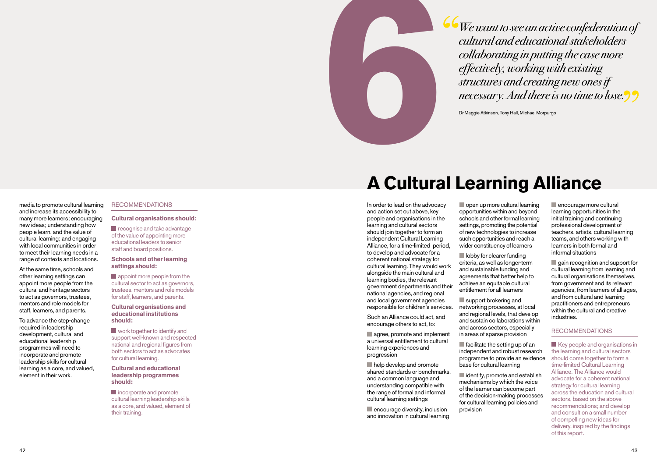

We want to see an active confederation of cultural and educational stakeholders collaborating in putting the case more effectively, working with existing structures and creating new ones if necessary. And there is no time to lose.

Dr Maggie Atkinson, Tony Hall, Michael Morpurgo

media to promote cultural learning and increase its accessibility to many more learners; encouraging new ideas; understanding how people learn, and the value of cultural learning; and engaging with local communities in order to meet their learning needs in a range of contexts and locations.

At the same time, schools and other learning settings can appoint more people from the cultural and heritage sectors to act as governors, trustees, mentors and role models for staff, learners, and parents.

To advance the step-change required in leadership development, cultural and educational leadership programmes will need to incorporate and promote leadership skills for cultural learning as a core, and valued, element in their work.

#### **RECOMMENDATIONS**

#### **Cultural organisations should:**

recognise and take advantage of the value of appointing more educational leaders to senior staff and board positions.

#### **Schools and other learning settings should:**

**appoint more people from the** cultural sector to act as governors, trustees, mentors and role models for staff, learners, and parents.

#### **Cultural organisations and educational institutions should:**

**Now** work together to identify and support well-known and respected national and regional figures from both sectors to act as advocates for cultural learning.

#### **Cultural and educational leadership programmes should:**

**incorporate and promote** cultural learning leadership skills as a core, and valued, element of their training.

# **A Cultural Learning Alliance**

In order to lead on the advocacy and action set out above, key people and organisations in the learning and cultural sectors should join together to form an independent Cultural Learning Alliance, for a time-limited period, to develop and advocate for a coherent national strategy for cultural learning. They would work alongside the main cultural and learning bodies, the relevant government departments and their national agencies, and regional and local government agencies responsible for children's services.

Such an Alliance could act, and encourage others to act, to:

agree, promote and implement a universal entitlement to cultural learning experiences and progression

 $\blacksquare$  help develop and promote shared standards or benchmarks, and a common language and understanding compatible with the range of formal and informal cultural learning settings

 $\blacksquare$  encourage diversity, inclusion and innovation in cultural learning open up more cultural learning opportunities within and beyond schools and other formal learning settings, promoting the potential of new technologies to increase such opportunities and reach a wider constituency of learners

**lobby for clearer funding** criteria, as well as longer-term and sustainable funding and agreements that better help to achieve an equitable cultural entitlement for all learners

support brokering and networking processes, at local and regional levels, that develop and sustain collaborations within and across sectors, especially in areas of sparse provision

 $\blacksquare$  facilitate the setting up of an independent and robust research programme to provide an evidence base for cultural learning

 $\blacksquare$  identify, promote and establish mechanisms by which the voice of the learner can become part of the decision-making processes for cultural learning policies and provision

encourage more cultural learning opportunities in the initial training and continuing professional development of teachers, artists, cultural learning teams, and others working with learners in both formal and informal situations

 $\blacksquare$  gain recognition and support for cultural learning from learning and cultural organisations themselves, from government and its relevant agencies, from learners of all ages, and from cultural and learning practitioners and entrepreneurs within the cultural and creative industries.

#### Recommendations

Key people and organisations in the learning and cultural sectors should come together to form a time-limited Cultural Learning Alliance. The Alliance would advocate for a coherent national strategy for cultural learning across the education and cultural sectors, based on the above recommendations; and develop and consult on a small number of compelling new ideas for delivery, inspired by the findings of this report.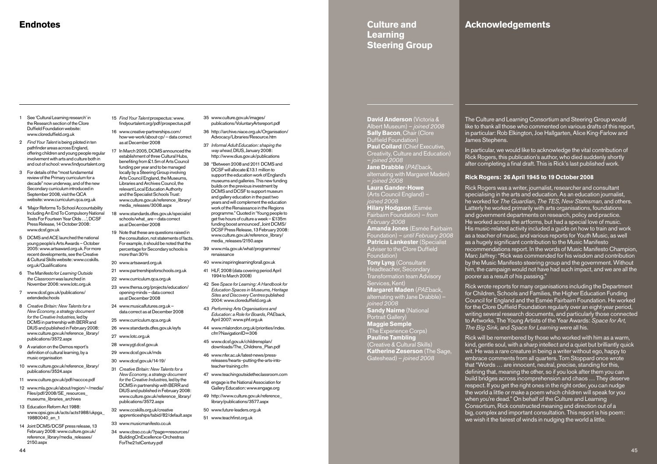#### **Culture and Learning Steering Group**

#### **Acknowledgements**

- 1 See 'Cultural Learning research' in the Research section of the Clore Duffield Foundation website: www.cloreduffield.org.uk
- 2 *Find Your Talent* is being piloted in ten pathfinder areas across England, offering children and young people regular involvement with arts and culture both in and out of school: www.findyourtalent.org
- 3 For details of the "most fundamental review of the Primary curriculum for a decade" now underway, and of the new Secondary curriculum introduced in September 2008, visit the QCA website: www.curriculum.qca.org.uk
- 4 'Major Reforms To School Accountability Including An End To Compulsory National Tests For Fourteen Year Olds …', DCSF Press Release, 14 October 2008: www.dcsf.gov.uk
- 5 DCMS and ACE launched the national young people's Arts Awards – October 2005: www.artsaward.org.uk. For more recent developments, see the Creative & Cultural Skills website: www.ccskills. org.uk/Qualifications
- 6 The Manifesto for *Learning Outside the Classroom* was launched in November 2006: www.lotc.org.uk
- 7 www.dcsf.gov.uk/publications/ extendedschools
- 8 *Creative Britain: New Talents for a New Economy, a strategy document for the Creative Industries,* led by DCMS in partnership with BERR and DIUS and published in February 2008: www.culture.gov.uk/reference\_library/ publications/3572.aspx
- 9 A variation on the Demos report's definition of cultural learning, by a music organisation
- 10 www.culture.gov.uk/reference\_library/ publications/3524.aspx
- 11 www.culture.gov.uk/pdf/naccce.pdf
- 12 www.mla.gov.uk/about/region/~/media/ Files/pdf/2008/SE\_resources\_ museums\_libraries\_archives
- 13 Education Reform Act 1988: www.opsi.gov.uk/acts/acts1988/ukpga\_ 19880040\_en\_1
- 14 Joint DCMS/DCSF press release, 13 February 2008: www.culture.gov.uk/ reference\_library/media\_releases/ 2150.aspx

15 *Find Your Talent* prospectus: www. findyourtalent.org/pdf/prospectus.pdf

16 www.creative-partnerships.com/ how-we-work/about-cp/ – data correct as at December 2008

- 17 In March 2005, DCMS announced the establishment of three Cultural Hubs, benefiting from £1.5m of Arts Council funding per year and to be managed locally by a Steering Group involving Arts Council England, the Museums, Libraries and Archives Council, the relevant Local Education Authority and the Specialist Schools Trust: www.culture.gov.uk/reference\_library/ media\_releases/3008.aspx
- 18 www.standards.dfes.gov.uk/specialist schools/what\_are – data correct as at December 2008
- 19 Note that these are questions raised in the consultation, not statements of facts. For example, it should be noted that the percentage for Secondary schools is more than 30%
- 20 www.artsaward.org.uk
- 21 www.partnershipsforschools.org.uk
- 22 www.curriculum.qca.org.uk
- 23 www.thersa.org/projects/education/ opening-minds – data correct as at December 2008
- 24 www.musicalfutures.org.uk data correct as at December 2008
- 25 www.curriculum.qca.org.uk
- 26 www.standards.dfes.gov.uk/eyfs 27 www.lotc.org.uk
- 28 www.ygt.dcsf.gov.uk
- 29 www.dcsf.gov.uk/mds
- 30 www.dcsf.gov.uk/14-19/
- 31 *Creative Britain: New Talents for a New Economy, a strategy document for the Creative Industries,* led by the DCMS in partnership with BERR and DIUS and published in February 2008: www.culture.gov.uk/reference\_library/ publications/3572.aspx
- 32 www.ccskills.org.uk/creative apprenticeships/tabid/82/default.aspx
- 33 www.musicmanifesto.co.uk 34 www.cbso.co.uk/?page=resources/ BuildingOnExcellence-Orchestras ForThe21stCentury.pdf
- 35 www.culture.gov.uk/images/ publications/VoluntaryArtsreport.pdf
- 36 http://archive.niace.org.uk/Organisation/ Advocacy/Libraries/Resource.htm
- 37 *Informal Adult Education: shaping the way ahead*, DIUS, January 2008: http://www.dius.gov.uk/publications
- 38 "Between 2008 and 2011 DCMS and DCSF will allocate £13.1 million to support the education work of England's museums and galleries. This new funding builds on the previous investment by DCMS and DCSF to support museum and gallery education in the past two years and will complement the education work of the Renaissance in the Regions programme." Quoted in 'Young people to get five hours of culture a week – £135m funding boost announced', Joint DCMS/ DCSF Press Release, 13 February 2008: www.culture.gov.uk/reference\_library/ media\_releases/2150.aspx
- 39 www.mla.gov.uk/what/programmes/ renaissance
- 40 www.inspiringlearningforall.gov.uk
- 41 HLF, 2008 (data covering period April 1994 to March 2008)
- 42 See *Space for Learning: A Handbook for Education Spaces in Museums, Heritage Sites and Discovery Centres* published 2004: www.cloreduffield.org.uk
- 43 *Performing Arts Organisations and Education: a Role for Boards*, *PAE*back, April 2007: www.phf.org.uk
- 44 www.mlalondon.org.uk/priorities/index. cfm?NavigationID=306
- 45 www.dcsf.gov.uk/childrensplan/ downloads/The\_Childrens\_Plan.pdf
- 46 www.nfer.ac.uk/latest-news/pressreleases/hearts--putting-the-arts-intoteacher-training.cfm
- 47 www.teachingoutsidetheclassroom.com
- 48 engage is the National Association for Gallery Education: www.engage.org
- 49 http://www.culture.gov.uk/reference\_ library/publications/3577.aspx
- 50 www.future-leaders.org.uk
- 51 www.teachfirst.org.uk

**David Anderson** (Victoria & Albert Museum) – *joined 2008* **Sally Bacon**, Chair (Clore Duffield Foundation) **Paul Collard** (Chief Executive, Creativity, Culture and Education) – *joined 2008* **Jane Drabble** (*PAE*back, alternating with Margaret Maden) – *joined 2008* **Laura Gander-Howe** (Arts Council England) – *joined 2008* **Hilary Hodgson** (Esmée Fairbairn Foundation) – *from February 2008* **Amanda Jones** (Esmée Fairbairn Foundation) – *until February 2008* **Patricia Lankester** (Specialist Adviser to the Clore Duffield Foundation) **Tony Lyng** (Consultant Headteacher, Secondary Transformation team Advisory Services, Kent) **Margaret Maden** (*PAE*back, alternating with Jane Drabble) – *joined 2008* **Sandy Nairne** (National Portrait Gallery) **Maggie Semple** (The Experience Corps) **Pauline Tambling** (Creative & Cultural Skills) **Katherine Zeserson** (The Sage, Gateshead) – *joined 2008*

The Culture and Learning Consortium and Steering Group would like to thank all those who commented on various drafts of this report, in particular: Rob Elkington, Joe Hallgarten, Alice King-Farlow and James Stephens.

In particular, we would like to acknowledge the vital contribution of Rick Rogers, this publication's author, who died suddenly shortly after completing a final draft. This is Rick's last published work.

#### **Rick Rogers: 26 April 1945 to 19 October 2008**

Rick Rogers was a writer, journalist, researcher and consultant specialising in the arts and education. As an education journalist, he worked for *The Guardian*, *The TES*, *New Statesman*, and others. Latterly he worked primarily with arts organisations, foundations and government departments on research, policy and practice. He worked across the artforms, but had a special love of music. His music-related activity included a guide on how to train and work as a teacher of music, and various reports for Youth Music, as well as a hugely significant contribution to the Music Manifesto recommendations report. In the words of Music Manifesto Champion, Marc Jaffrey: "Rick was commended for his wisdom and contribution by the Music Manifesto steering group and the government. Without him, the campaign would not have had such impact, and we are all the poorer as a result of his passing."

Rick wrote reports for many organisations including the Department for Children, Schools and Families, the Higher Education Funding Council for England and the Esmée Fairbairn Foundation. He worked for the Clore Duffield Foundation regularly over an eight-year period, writing several research documents, and particularly those connected to Artworks, The Young Artists of the Year Awards: *Space for Art, The Big Sink,* and *Space for Learning* were all his.

Rick will be remembered by those who worked with him as a warm, kind, gentle soul, with a sharp intellect and a quiet but brilliantly quick wit. He was a rare creature in being a writer without ego, happy to embrace comments from all quarters. Tom Stoppard once wrote that "Words … are innocent, neutral, precise, standing for this, defining that, meaning the other, so if you look after them you can build bridges across incomprehension and chaos … They deserve respect. If you get the right ones in the right order, you can nudge the world a little or make a poem which children will speak for you when you're dead." On behalf of the Culture and Learning Consortium, Rick constructed meaning and direction out of a big, complex and important consultation. This report is his poem: we wish it the fairest of winds in nudging the world a little.